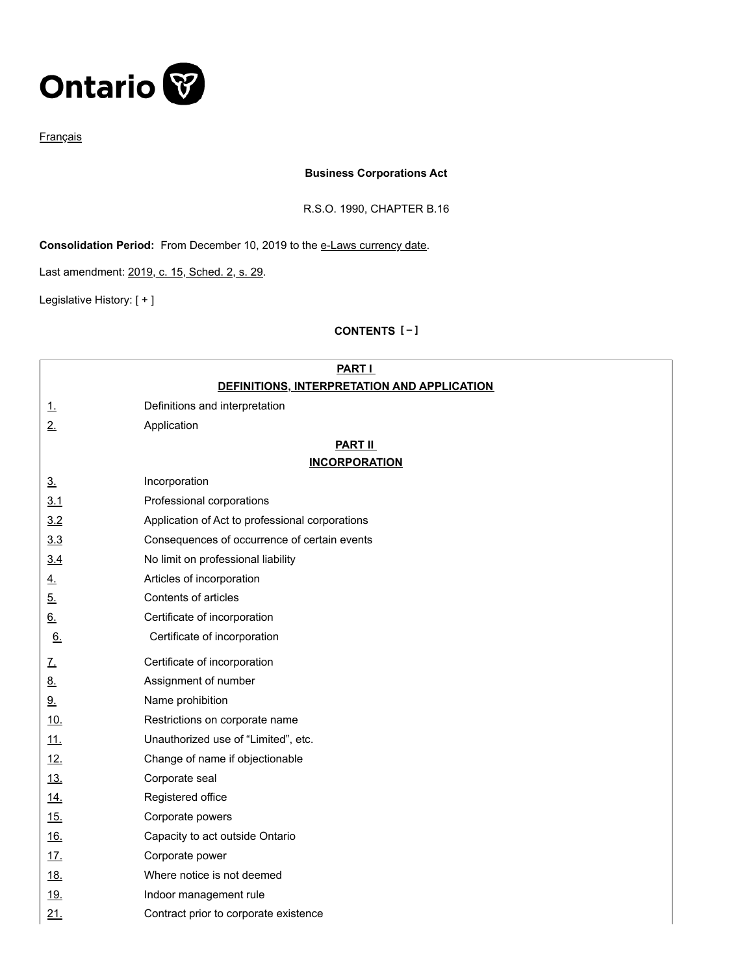

**[Français](http://www.ontario.ca/fr/lois/loi/90b16)** 

## **Business Corporations Act**

R.S.O. 1990, CHAPTER B.16

**Consolidation Period:** From December 10, 2019 to the [e-Laws currency date](http://www.e-laws.gov.on.ca/navigation?file=currencyDates&lang=en).

Last amendment: [2019, c. 15, Sched. 2, s. 29](http://www.ontario.ca/laws/statute/S19015#sched2s29).

Legislative History: [ + ]

# **CONTENTS [ – ]**

|                | <b>PART I</b><br>DEFINITIONS, INTERPRETATION AND APPLICATION |
|----------------|--------------------------------------------------------------|
| <u>1.</u>      | Definitions and interpretation                               |
| 2.             | Application                                                  |
|                | <b>PART II</b>                                               |
|                | <b>INCORPORATION</b>                                         |
| 3 <sub>1</sub> | Incorporation                                                |
| 3.1            | Professional corporations                                    |
| 3.2            | Application of Act to professional corporations              |
| 3.3            | Consequences of occurrence of certain events                 |
| 3.4            | No limit on professional liability                           |
| <u>4.</u>      | Articles of incorporation                                    |
| 5.             | Contents of articles                                         |
| 6.             | Certificate of incorporation                                 |
| 6.             | Certificate of incorporation                                 |
| <u>z.</u>      | Certificate of incorporation                                 |
| <u>8.</u>      | Assignment of number                                         |
| <u>9.</u>      | Name prohibition                                             |
| 10.            | Restrictions on corporate name                               |
| 11.            | Unauthorized use of "Limited", etc.                          |
| 12.            | Change of name if objectionable                              |
| 13.            | Corporate seal                                               |
| 14.            | Registered office                                            |
| 15.            | Corporate powers                                             |
| 16.            | Capacity to act outside Ontario                              |
| <u>17.</u>     | Corporate power                                              |
| <u>18.</u>     | Where notice is not deemed                                   |
| <u>19.</u>     | Indoor management rule                                       |
| 21.            | Contract prior to corporate existence                        |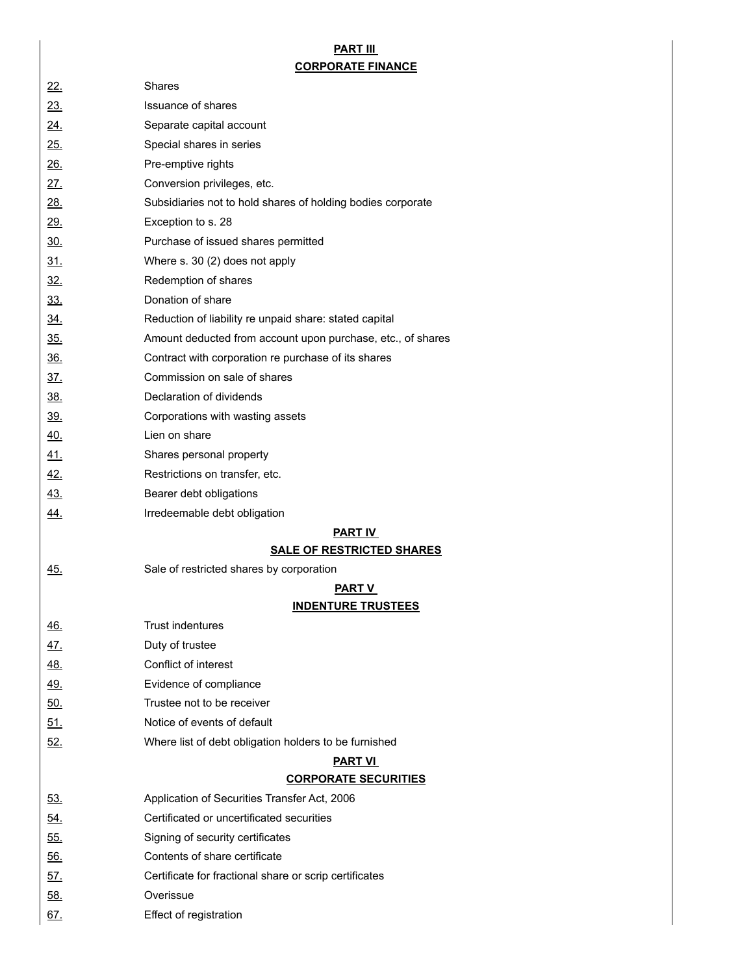# **PART III CORPORATE FINANCE**

|             | <u> 2009 - 2009 - 2010</u>                                  |
|-------------|-------------------------------------------------------------|
| 22.         | <b>Shares</b>                                               |
| 23.         | Issuance of shares                                          |
| <u>24.</u>  | Separate capital account                                    |
| 25.         | Special shares in series                                    |
| <u> 26.</u> | Pre-emptive rights                                          |
| 27.         | Conversion privileges, etc.                                 |
| 28.         | Subsidiaries not to hold shares of holding bodies corporate |
| <u>29.</u>  | Exception to s. 28                                          |
| <u>30.</u>  | Purchase of issued shares permitted                         |
| 31.         | Where s. 30 (2) does not apply                              |
| 32.         | Redemption of shares                                        |
| <u>33.</u>  | Donation of share                                           |
| 34.         | Reduction of liability re unpaid share: stated capital      |
| 35.         | Amount deducted from account upon purchase, etc., of shares |
| <u>36.</u>  | Contract with corporation re purchase of its shares         |
| <u>37.</u>  | Commission on sale of shares                                |
| <u>38.</u>  | Declaration of dividends                                    |
| <u>39.</u>  | Corporations with wasting assets                            |
| <u>40.</u>  | Lien on share                                               |
| 41.         | Shares personal property                                    |
| <u>42.</u>  | Restrictions on transfer, etc.                              |
| <u>43.</u>  | Bearer debt obligations                                     |
| <u>44.</u>  | Irredeemable debt obligation                                |
|             | <b>PART IV</b>                                              |
|             | <b>SALE OF RESTRICTED SHARES</b>                            |
| 45.         | Sale of restricted shares by corporation                    |
|             | PART V                                                      |
|             | <b>INDENTURE TRUSTEES</b>                                   |
| <u>46.</u>  | Trust indentures                                            |
| 47.         | Duty of trustee                                             |
| <u>48.</u>  | Conflict of interest                                        |
| <u>49.</u>  | Evidence of compliance                                      |
| 50.         | Trustee not to be receiver                                  |
| <u>51.</u>  | Notice of events of default                                 |
| <u>52.</u>  | Where list of debt obligation holders to be furnished       |
|             | <b>PART VI</b>                                              |
|             | <b>CORPORATE SECURITIES</b>                                 |
| <u>53.</u>  | Application of Securities Transfer Act, 2006                |
| 54.         | Certificated or uncertificated securities                   |
| <u>55.</u>  | Signing of security certificates                            |
| <u>56.</u>  | Contents of share certificate                               |
| <u>57.</u>  | Certificate for fractional share or scrip certificates      |
| <u>58.</u>  | Overissue                                                   |
| 67.         | Effect of registration                                      |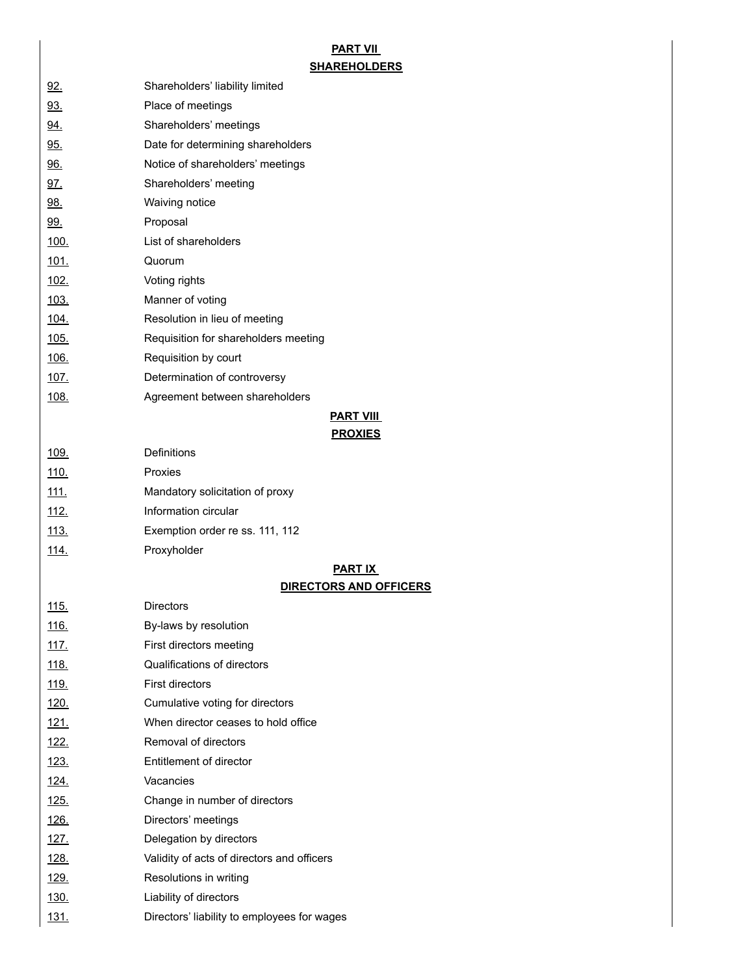# **PART VII SHAREHOLDERS**

| <u>92.</u>   | Shareholders' liability limited             |                               |
|--------------|---------------------------------------------|-------------------------------|
| <u>93.</u>   | Place of meetings                           |                               |
| <u>94.</u>   | Shareholders' meetings                      |                               |
| <u>95.</u>   | Date for determining shareholders           |                               |
| <u>96.</u>   | Notice of shareholders' meetings            |                               |
| 97.          | Shareholders' meeting                       |                               |
| 98.          | Waiving notice                              |                               |
| 99.          | Proposal                                    |                               |
| <u>100.</u>  | List of shareholders                        |                               |
| <u> 101.</u> | Quorum                                      |                               |
| 102.         | Voting rights                               |                               |
| 103.         | Manner of voting                            |                               |
| <u> 104.</u> | Resolution in lieu of meeting               |                               |
| <u>105.</u>  | Requisition for shareholders meeting        |                               |
| 106.         | Requisition by court                        |                               |
| <u>107.</u>  | Determination of controversy                |                               |
| 108.         | Agreement between shareholders              |                               |
|              |                                             | <b>PART VIII</b>              |
|              |                                             | <u>PROXIES</u>                |
| <u> 109.</u> | Definitions                                 |                               |
| <u>110.</u>  | Proxies                                     |                               |
| <u>111.</u>  | Mandatory solicitation of proxy             |                               |
| <u> 112.</u> | Information circular                        |                               |
| <u>113.</u>  | Exemption order re ss. 111, 112             |                               |
| <u>114.</u>  | Proxyholder                                 |                               |
|              |                                             | PART IX                       |
|              |                                             | <b>DIRECTORS AND OFFICERS</b> |
| 115.         | <b>Directors</b>                            |                               |
| <u>116.</u>  | By-laws by resolution                       |                               |
| <u>117.</u>  | First directors meeting                     |                               |
| <u>118.</u>  | Qualifications of directors                 |                               |
| <u>119.</u>  | <b>First directors</b>                      |                               |
| 120.         | Cumulative voting for directors             |                               |
| <u>121.</u>  | When director ceases to hold office         |                               |
| <u>122.</u>  | Removal of directors                        |                               |
| <u>123.</u>  | Entitlement of director                     |                               |
| <u> 124.</u> | Vacancies                                   |                               |
| <u>125.</u>  | Change in number of directors               |                               |
| <u>126.</u>  | Directors' meetings                         |                               |
| <u>127.</u>  | Delegation by directors                     |                               |
| <u> 128.</u> | Validity of acts of directors and officers  |                               |
| <u>129.</u>  | Resolutions in writing                      |                               |
| <u>130.</u>  | Liability of directors                      |                               |
| <u>131.</u>  | Directors' liability to employees for wages |                               |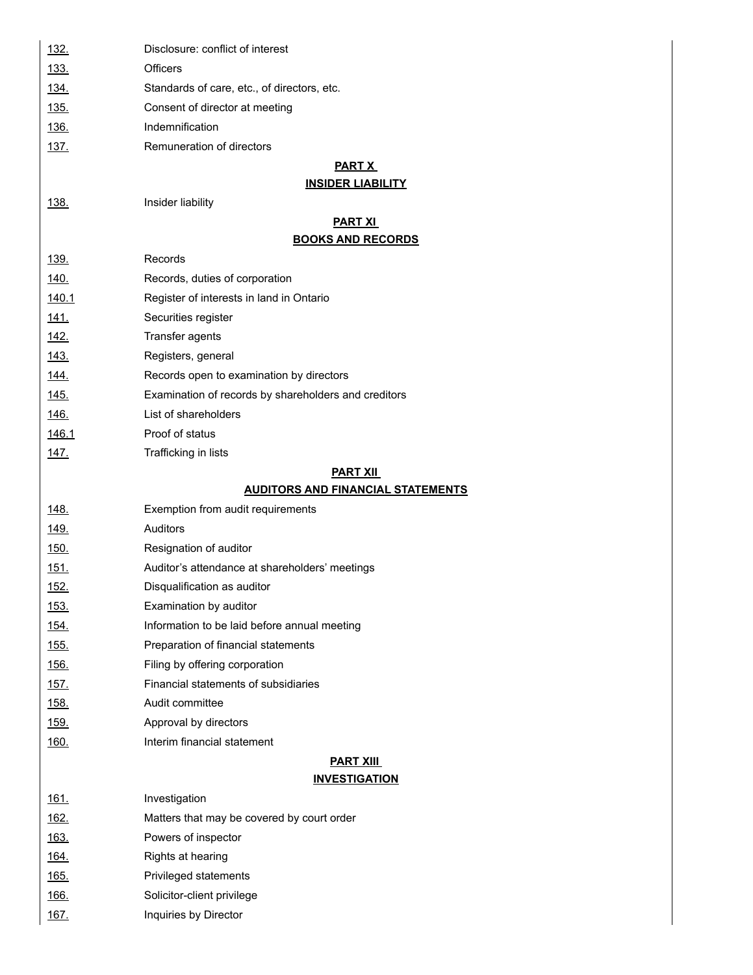| <u>132.</u>  | Disclosure: conflict of interest                     |
|--------------|------------------------------------------------------|
| <u>133.</u>  | Officers                                             |
| <u>134.</u>  | Standards of care, etc., of directors, etc.          |
| <u>135.</u>  | Consent of director at meeting                       |
| <u>136.</u>  | Indemnification                                      |
| <u>137.</u>  | Remuneration of directors                            |
|              | <b>PART X</b>                                        |
|              | <b>INSIDER LIABILITY</b>                             |
| 138.         | Insider liability                                    |
|              | <b>PART XI</b>                                       |
|              | <b>BOOKS AND RECORDS</b>                             |
| <u>139.</u>  | Records                                              |
| <u>140.</u>  | Records, duties of corporation                       |
| 140.1        | Register of interests in land in Ontario             |
| <u>141.</u>  | Securities register                                  |
| <u>142.</u>  | Transfer agents                                      |
| <u>143.</u>  | Registers, general                                   |
| <u>144.</u>  | Records open to examination by directors             |
| <u>145.</u>  | Examination of records by shareholders and creditors |
| <u>146.</u>  | List of shareholders                                 |
| <u>146.1</u> | Proof of status                                      |
| <u>147.</u>  | Trafficking in lists                                 |
|              | <b>PART XII</b>                                      |
|              | <b>AUDITORS AND FINANCIAL STATEMENTS</b>             |
| <u>148.</u>  | Exemption from audit requirements                    |
| <u> 149.</u> | Auditors                                             |
| <u>150.</u>  | Resignation of auditor                               |
| <u>151.</u>  | Auditor's attendance at shareholders' meetings       |
| <u> 152.</u> | Disqualification as auditor                          |
| <u>153.</u>  | Examination by auditor                               |
| <u>154.</u>  | Information to be laid before annual meeting         |
| <u>155.</u>  | Preparation of financial statements                  |
| <u>156.</u>  | Filing by offering corporation                       |
| <u>157.</u>  | Financial statements of subsidiaries                 |
| <u> 158.</u> | Audit committee                                      |
| <u>159.</u>  | Approval by directors                                |
| <u>160.</u>  | Interim financial statement                          |
|              | <b>PART XIII</b>                                     |
|              | <b>INVESTIGATION</b>                                 |
| <u>161.</u>  | Investigation                                        |
| <u>162.</u>  | Matters that may be covered by court order           |
| <u>163.</u>  | Powers of inspector                                  |
| <u> 164.</u> | Rights at hearing                                    |
| <u> 165.</u> | Privileged statements                                |
| <u> 166.</u> | Solicitor-client privilege                           |
| <u>167.</u>  | Inquiries by Director                                |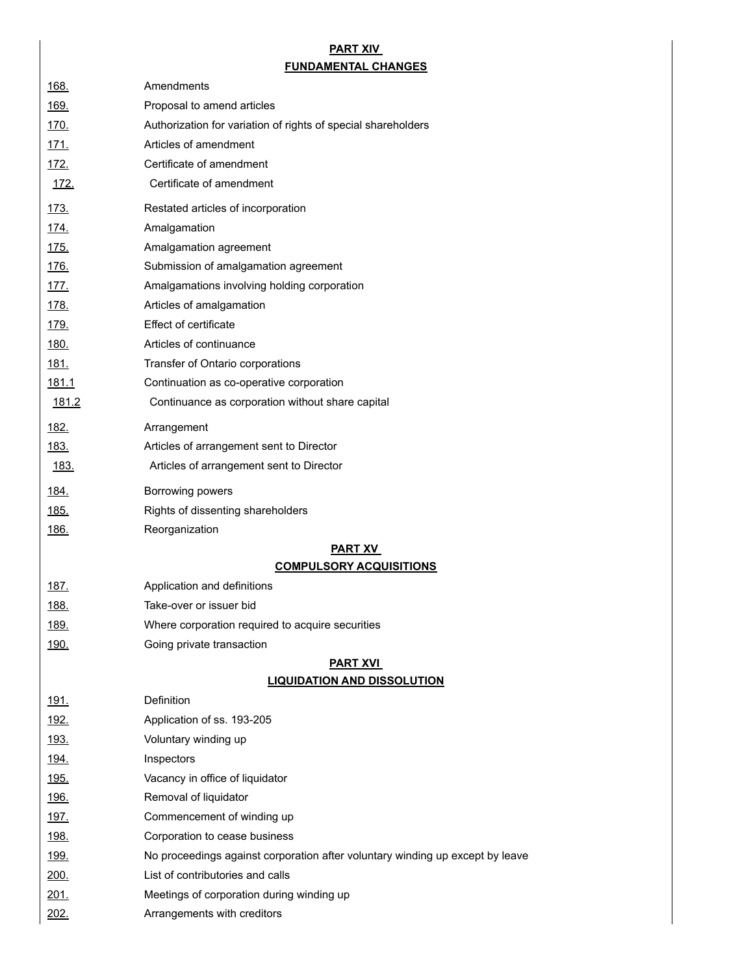# **PART XIV FUNDAMENTAL CHANGES**

| <u>168.</u>                 | Amendments                                                                    |
|-----------------------------|-------------------------------------------------------------------------------|
| <u> 169.</u>                | Proposal to amend articles                                                    |
| <u>170.</u>                 | Authorization for variation of rights of special shareholders                 |
| <u>171.</u>                 | Articles of amendment                                                         |
| <u>172.</u>                 | Certificate of amendment                                                      |
| <u>172.</u>                 | Certificate of amendment                                                      |
| <u>173.</u>                 | Restated articles of incorporation                                            |
| <u>174.</u>                 | Amalgamation                                                                  |
| <u>175.</u>                 | Amalgamation agreement                                                        |
| <u>176.</u>                 | Submission of amalgamation agreement                                          |
| <u>177.</u>                 | Amalgamations involving holding corporation                                   |
| <u>178.</u>                 | Articles of amalgamation                                                      |
| <u>179.</u>                 | <b>Effect of certificate</b>                                                  |
| <u>180.</u>                 | Articles of continuance                                                       |
| <u> 181.</u>                | Transfer of Ontario corporations                                              |
| 181.1                       | Continuation as co-operative corporation                                      |
| 181.2                       | Continuance as corporation without share capital                              |
| <u>182.</u>                 | Arrangement                                                                   |
| <u>183.</u>                 | Articles of arrangement sent to Director                                      |
| <u>183.</u>                 | Articles of arrangement sent to Director                                      |
| <u> 184.</u>                | Borrowing powers                                                              |
| <u>185.</u>                 | Rights of dissenting shareholders                                             |
| <u>186.</u>                 | Reorganization                                                                |
|                             | <u>PART XV</u>                                                                |
|                             | <b>COMPULSORY ACQUISITIONS</b>                                                |
| <u> 187.</u>                | Application and definitions                                                   |
| <u>188.</u>                 | Take-over or issuer bid                                                       |
| <u>189.</u>                 | Where corporation required to acquire securities                              |
| <u>190.</u>                 | Going private transaction                                                     |
|                             | <b>PART XVI</b>                                                               |
|                             |                                                                               |
|                             | <b>LIQUIDATION AND DISSOLUTION</b>                                            |
| <u>191.</u>                 | Definition                                                                    |
| <u>192.</u>                 | Application of ss. 193-205                                                    |
| <u>193.</u>                 | Voluntary winding up                                                          |
| <u>194.</u>                 | Inspectors                                                                    |
| <u>195.</u>                 | Vacancy in office of liquidator                                               |
| <u> 196.</u>                | Removal of liquidator                                                         |
| <u> 197.</u>                | Commencement of winding up                                                    |
| <u>198.</u>                 | Corporation to cease business                                                 |
| <u>199.</u>                 | No proceedings against corporation after voluntary winding up except by leave |
| <u>200.</u>                 | List of contributories and calls                                              |
| <u> 201.</u><br><u>202.</u> | Meetings of corporation during winding up<br>Arrangements with creditors      |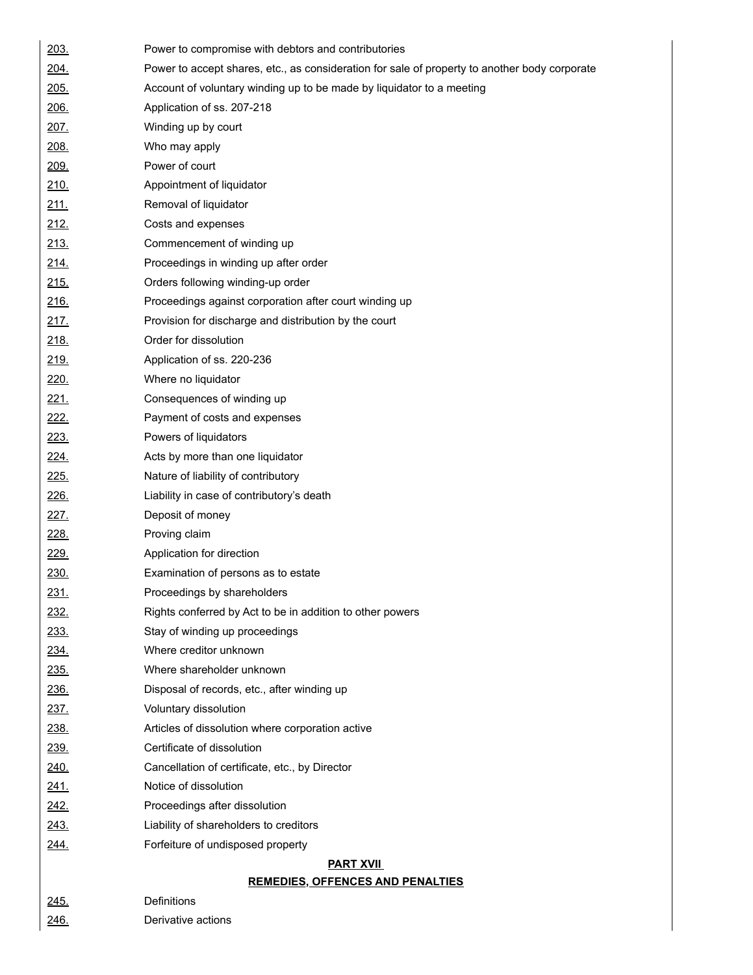| 203.                                    | Power to compromise with debtors and contributories                                           |  |
|-----------------------------------------|-----------------------------------------------------------------------------------------------|--|
| 204.                                    | Power to accept shares, etc., as consideration for sale of property to another body corporate |  |
| 205.                                    | Account of voluntary winding up to be made by liquidator to a meeting                         |  |
| 206.                                    | Application of ss. 207-218                                                                    |  |
| 207.                                    | Winding up by court                                                                           |  |
| <u>208.</u>                             | Who may apply                                                                                 |  |
| 209.                                    | Power of court                                                                                |  |
| 210.                                    | Appointment of liquidator                                                                     |  |
| 211.                                    | Removal of liquidator                                                                         |  |
| <u>212.</u>                             | Costs and expenses                                                                            |  |
| 213.                                    | Commencement of winding up                                                                    |  |
| 214.                                    | Proceedings in winding up after order                                                         |  |
| <u>215.</u>                             | Orders following winding-up order                                                             |  |
| 216.                                    | Proceedings against corporation after court winding up                                        |  |
| <u>217.</u>                             | Provision for discharge and distribution by the court                                         |  |
| 218.                                    | Order for dissolution                                                                         |  |
| 219.                                    | Application of ss. 220-236                                                                    |  |
| 220.                                    | Where no liquidator                                                                           |  |
| 221.                                    | Consequences of winding up                                                                    |  |
| 222.                                    | Payment of costs and expenses                                                                 |  |
| 223.                                    | Powers of liquidators                                                                         |  |
| 224.                                    | Acts by more than one liquidator                                                              |  |
| 225.                                    | Nature of liability of contributory                                                           |  |
| 226.                                    | Liability in case of contributory's death                                                     |  |
| 227.                                    | Deposit of money                                                                              |  |
| 228.                                    | Proving claim                                                                                 |  |
| 229.                                    | Application for direction                                                                     |  |
| 230.                                    | Examination of persons as to estate                                                           |  |
| 231.                                    | Proceedings by shareholders                                                                   |  |
| 232.                                    | Rights conferred by Act to be in addition to other powers                                     |  |
| 233.                                    | Stay of winding up proceedings                                                                |  |
| 234.                                    | Where creditor unknown                                                                        |  |
| <u>235.</u>                             | Where shareholder unknown                                                                     |  |
| 236.                                    | Disposal of records, etc., after winding up                                                   |  |
| <u>237.</u>                             | Voluntary dissolution                                                                         |  |
| 238.                                    | Articles of dissolution where corporation active                                              |  |
| <u>239.</u>                             | Certificate of dissolution                                                                    |  |
| 240.                                    | Cancellation of certificate, etc., by Director                                                |  |
| <u>241.</u>                             | Notice of dissolution                                                                         |  |
| 242.                                    | Proceedings after dissolution                                                                 |  |
| 243.                                    | Liability of shareholders to creditors                                                        |  |
| 244.                                    | Forfeiture of undisposed property                                                             |  |
| <b>PART XVII</b>                        |                                                                                               |  |
| <b>REMEDIES, OFFENCES AND PENALTIES</b> |                                                                                               |  |
| <u>245.</u>                             | Definitions                                                                                   |  |
| 246.                                    | Derivative actions                                                                            |  |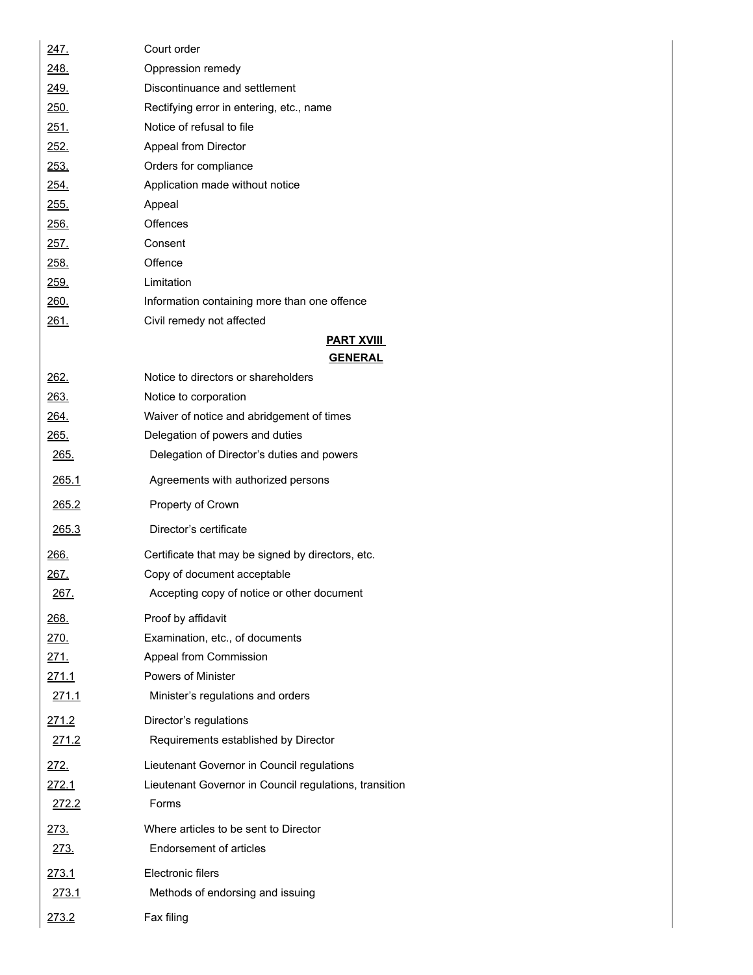| 247.          | Court order                                            |
|---------------|--------------------------------------------------------|
| <u> 248.</u>  | Oppression remedy                                      |
| 249.          | Discontinuance and settlement                          |
| <u>250.</u>   | Rectifying error in entering, etc., name               |
| <u>251.</u>   | Notice of refusal to file                              |
| 252.          | Appeal from Director                                   |
| 253.          | Orders for compliance                                  |
| <u> 254.</u>  | Application made without notice                        |
| 255.          | Appeal                                                 |
| <u> 256.</u>  | <b>Offences</b>                                        |
| <u>257.</u>   | Consent                                                |
| <u> 258.</u>  | Offence                                                |
| <u>259.</u>   | Limitation                                             |
| 260.          | Information containing more than one offence           |
| 261.          | Civil remedy not affected                              |
|               | <b>PART XVIII</b>                                      |
|               | <u>GENERAL</u>                                         |
| 262.          | Notice to directors or shareholders                    |
| 263.          | Notice to corporation                                  |
| <u> 264.</u>  | Waiver of notice and abridgement of times              |
| <u> 265.</u>  | Delegation of powers and duties                        |
| <u> 265.</u>  | Delegation of Director's duties and powers             |
| <u> 265.1</u> | Agreements with authorized persons                     |
| 265.2         | Property of Crown                                      |
| 265.3         | Director's certificate                                 |
| 266.          | Certificate that may be signed by directors, etc.      |
| 267.          | Copy of document acceptable                            |
| 267.          | Accepting copy of notice or other document             |
| 268.          | Proof by affidavit                                     |
| <u> 270.</u>  | Examination, etc., of documents                        |
| 271.          | Appeal from Commission                                 |
| <u> 271.1</u> | Powers of Minister                                     |
| <u>271.1</u>  | Minister's regulations and orders                      |
| 271.2         | Director's regulations                                 |
| <u>271.2</u>  | Requirements established by Director                   |
| <u> 272.</u>  | Lieutenant Governor in Council regulations             |
| 272.1         | Lieutenant Governor in Council regulations, transition |
| <u>272.2</u>  | Forms                                                  |
| 273.          | Where articles to be sent to Director                  |
| <u>273.</u>   | Endorsement of articles                                |
| <u>273.1</u>  | Electronic filers                                      |
| <u> 273.1</u> | Methods of endorsing and issuing                       |
| 273.2         | Fax filing                                             |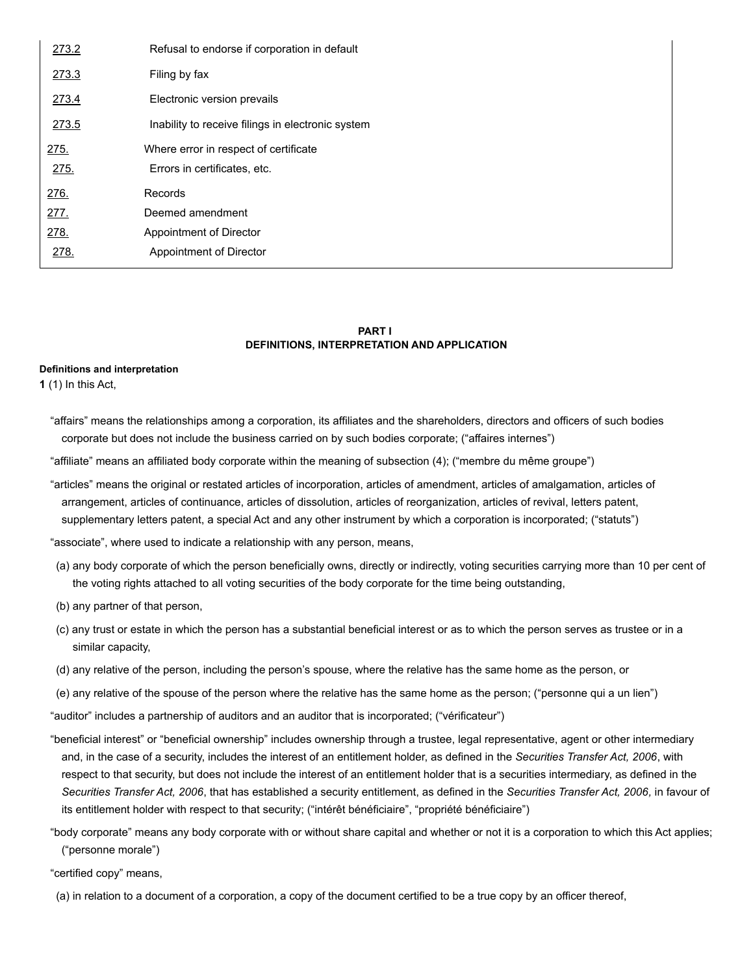| 273.2 | Refusal to endorse if corporation in default      |
|-------|---------------------------------------------------|
| 273.3 | Filing by fax                                     |
| 273.4 | Electronic version prevails                       |
| 273.5 | Inability to receive filings in electronic system |
| 275.  | Where error in respect of certificate             |
| 275.  | Errors in certificates, etc.                      |
| 276.  | Records                                           |
| 277.  | Deemed amendment                                  |
| 278.  | Appointment of Director                           |
| 278.  | Appointment of Director                           |
|       |                                                   |

### **PART I DEFINITIONS, INTERPRETATION AND APPLICATION**

#### <span id="page-7-0"></span>**Definitions and interpretation**

<span id="page-7-1"></span>**1** (1) In this Act,

- "affairs" means the relationships among a corporation, its affiliates and the shareholders, directors and officers of such bodies corporate but does not include the business carried on by such bodies corporate; ("affaires internes")
- "affiliate" means an affiliated body corporate within the meaning of subsection (4); ("membre du même groupe")
- "articles" means the original or restated articles of incorporation, articles of amendment, articles of amalgamation, articles of arrangement, articles of continuance, articles of dissolution, articles of reorganization, articles of revival, letters patent, supplementary letters patent, a special Act and any other instrument by which a corporation is incorporated; ("statuts")

"associate", where used to indicate a relationship with any person, means,

- (a) any body corporate of which the person beneficially owns, directly or indirectly, voting securities carrying more than 10 per cent of the voting rights attached to all voting securities of the body corporate for the time being outstanding,
- (b) any partner of that person,
- (c) any trust or estate in which the person has a substantial beneficial interest or as to which the person serves as trustee or in a similar capacity,
- (d) any relative of the person, including the person's spouse, where the relative has the same home as the person, or
- (e) any relative of the spouse of the person where the relative has the same home as the person; ("personne qui a un lien")

"auditor" includes a partnership of auditors and an auditor that is incorporated; ("vérificateur")

- "beneficial interest" or "beneficial ownership" includes ownership through a trustee, legal representative, agent or other intermediary and, in the case of a security, includes the interest of an entitlement holder, as defined in the *Securities Transfer Act, 2006*, with respect to that security, but does not include the interest of an entitlement holder that is a securities intermediary, as defined in the *Securities Transfer Act, 2006*, that has established a security entitlement, as defined in the *Securities Transfer Act, 2006,* in favour of its entitlement holder with respect to that security; ("intérêt bénéficiaire", "propriété bénéficiaire")
- "body corporate" means any body corporate with or without share capital and whether or not it is a corporation to which this Act applies; ("personne morale")

"certified copy" means,

(a) in relation to a document of a corporation, a copy of the document certified to be a true copy by an officer thereof,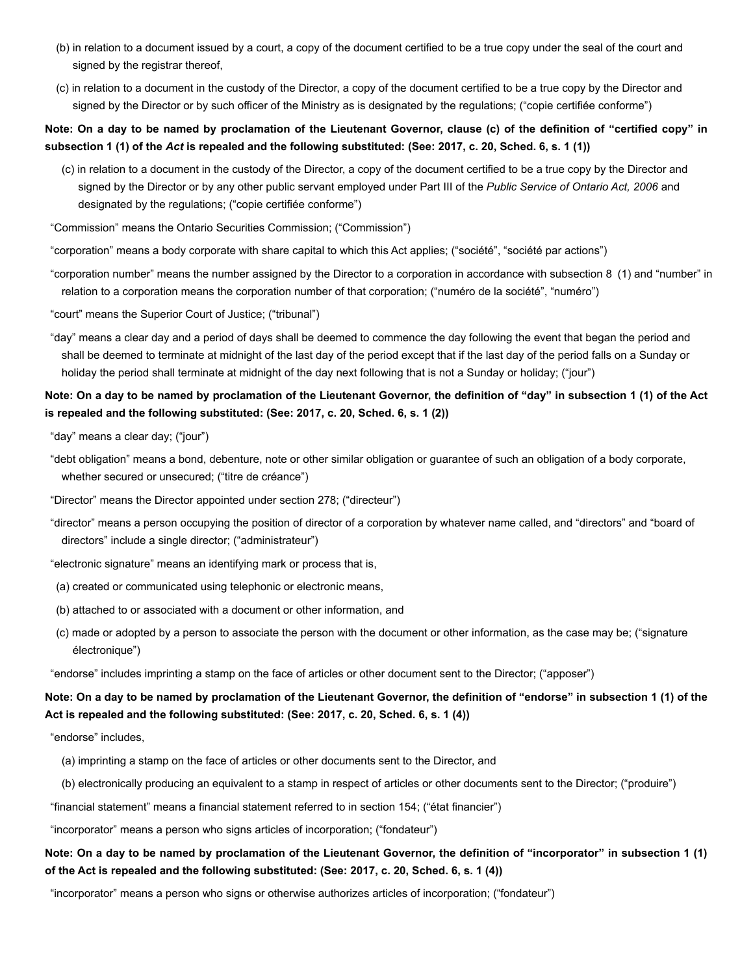- (b) in relation to a document issued by a court, a copy of the document certified to be a true copy under the seal of the court and signed by the registrar thereof,
- (c) in relation to a document in the custody of the Director, a copy of the document certified to be a true copy by the Director and signed by the Director or by such officer of the Ministry as is designated by the regulations; ("copie certifiée conforme")

## **Note: On a day to be named by proclamation of the Lieutenant Governor, clause (c) of the definition of "certified copy" in subsection 1 (1) of the** *Act* **is repealed and the following substituted: (See: 2017, c. 20, Sched. 6, s. 1 (1))**

(c) in relation to a document in the custody of the Director, a copy of the document certified to be a true copy by the Director and signed by the Director or by any other public servant employed under Part III of the *Public Service of Ontario Act, 2006* and designated by the regulations; ("copie certifiée conforme")

"Commission" means the Ontario Securities Commission; ("Commission")

"corporation" means a body corporate with share capital to which this Act applies; ("société", "société par actions")

"corporation number" means the number assigned by the Director to a corporation in accordance with subsection 8 (1) and "number" in relation to a corporation means the corporation number of that corporation; ("numéro de la société", "numéro")

"court" means the Superior Court of Justice; ("tribunal")

"day" means a clear day and a period of days shall be deemed to commence the day following the event that began the period and shall be deemed to terminate at midnight of the last day of the period except that if the last day of the period falls on a Sunday or holiday the period shall terminate at midnight of the day next following that is not a Sunday or holiday; ("jour")

# **Note: On a day to be named by proclamation of the Lieutenant Governor, the definition of "day" in subsection 1 (1) of the Act is repealed and the following substituted: (See: 2017, c. 20, Sched. 6, s. 1 (2))**

"day" means a clear day; ("jour")

- "debt obligation" means a bond, debenture, note or other similar obligation or guarantee of such an obligation of a body corporate, whether secured or unsecured; ("titre de créance")
- "Director" means the Director appointed under section 278; ("directeur")
- "director" means a person occupying the position of director of a corporation by whatever name called, and "directors" and "board of directors" include a single director; ("administrateur")

"electronic signature" means an identifying mark or process that is,

- (a) created or communicated using telephonic or electronic means,
- (b) attached to or associated with a document or other information, and
- (c) made or adopted by a person to associate the person with the document or other information, as the case may be; ("signature électronique")

"endorse" includes imprinting a stamp on the face of articles or other document sent to the Director; ("apposer")

## **Note: On a day to be named by proclamation of the Lieutenant Governor, the definition of "endorse" in subsection 1 (1) of the Act is repealed and the following substituted: (See: 2017, c. 20, Sched. 6, s. 1 (4))**

"endorse" includes,

- (a) imprinting a stamp on the face of articles or other documents sent to the Director, and
- (b) electronically producing an equivalent to a stamp in respect of articles or other documents sent to the Director; ("produire")

"financial statement" means a financial statement referred to in section 154; ("état financier")

"incorporator" means a person who signs articles of incorporation; ("fondateur")

# **Note: On a day to be named by proclamation of the Lieutenant Governor, the definition of "incorporator" in subsection 1 (1) of the Act is repealed and the following substituted: (See: 2017, c. 20, Sched. 6, s. 1 (4))**

"incorporator" means a person who signs or otherwise authorizes articles of incorporation; ("fondateur")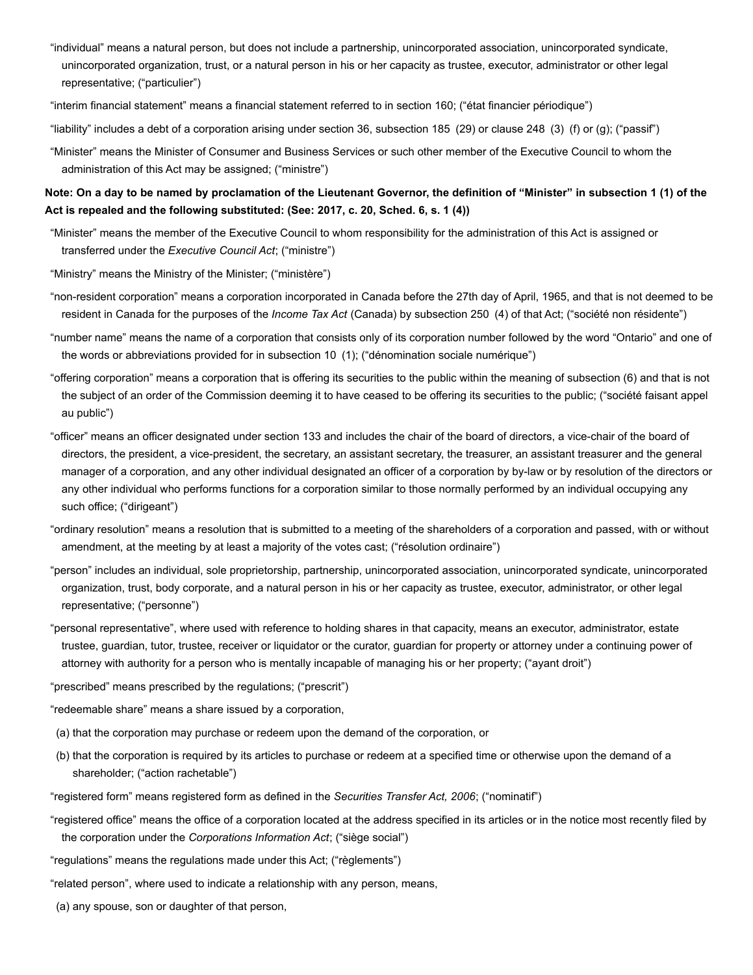- "individual" means a natural person, but does not include a partnership, unincorporated association, unincorporated syndicate, unincorporated organization, trust, or a natural person in his or her capacity as trustee, executor, administrator or other legal representative; ("particulier")
- "interim financial statement" means a financial statement referred to in section 160; ("état financier périodique")
- "liability" includes a debt of a corporation arising under section 36, subsection 185 (29) or clause 248 (3) (f) or (g); ("passif")
- "Minister" means the Minister of Consumer and Business Services or such other member of the Executive Council to whom the administration of this Act may be assigned; ("ministre")

## **Note: On a day to be named by proclamation of the Lieutenant Governor, the definition of "Minister" in subsection 1 (1) of the Act is repealed and the following substituted: (See: 2017, c. 20, Sched. 6, s. 1 (4))**

- "Minister" means the member of the Executive Council to whom responsibility for the administration of this Act is assigned or transferred under the *Executive Council Act*; ("ministre")
- "Ministry" means the Ministry of the Minister; ("ministère")
- "non-resident corporation" means a corporation incorporated in Canada before the 27th day of April, 1965, and that is not deemed to be resident in Canada for the purposes of the *Income Tax Act* (Canada) by subsection 250 (4) of that Act; ("société non résidente")
- "number name" means the name of a corporation that consists only of its corporation number followed by the word "Ontario" and one of the words or abbreviations provided for in subsection 10 (1); ("dénomination sociale numérique")
- "offering corporation" means a corporation that is offering its securities to the public within the meaning of subsection (6) and that is not the subject of an order of the Commission deeming it to have ceased to be offering its securities to the public; ("société faisant appel au public")
- "officer" means an officer designated under section 133 and includes the chair of the board of directors, a vice-chair of the board of directors, the president, a vice-president, the secretary, an assistant secretary, the treasurer, an assistant treasurer and the general manager of a corporation, and any other individual designated an officer of a corporation by by-law or by resolution of the directors or any other individual who performs functions for a corporation similar to those normally performed by an individual occupying any such office; ("dirigeant")
- "ordinary resolution" means a resolution that is submitted to a meeting of the shareholders of a corporation and passed, with or without amendment, at the meeting by at least a majority of the votes cast; ("résolution ordinaire")
- "person" includes an individual, sole proprietorship, partnership, unincorporated association, unincorporated syndicate, unincorporated organization, trust, body corporate, and a natural person in his or her capacity as trustee, executor, administrator, or other legal representative; ("personne")
- "personal representative", where used with reference to holding shares in that capacity, means an executor, administrator, estate trustee, guardian, tutor, trustee, receiver or liquidator or the curator, guardian for property or attorney under a continuing power of attorney with authority for a person who is mentally incapable of managing his or her property; ("ayant droit")
- "prescribed" means prescribed by the regulations; ("prescrit")
- "redeemable share" means a share issued by a corporation,
- (a) that the corporation may purchase or redeem upon the demand of the corporation, or
- (b) that the corporation is required by its articles to purchase or redeem at a specified time or otherwise upon the demand of a shareholder; ("action rachetable")
- "registered form" means registered form as defined in the *Securities Transfer Act, 2006*; ("nominatif")
- "registered office" means the office of a corporation located at the address specified in its articles or in the notice most recently filed by the corporation under the *Corporations Information Act*; ("siège social")
- "regulations" means the regulations made under this Act; ("règlements")
- "related person", where used to indicate a relationship with any person, means,
- (a) any spouse, son or daughter of that person,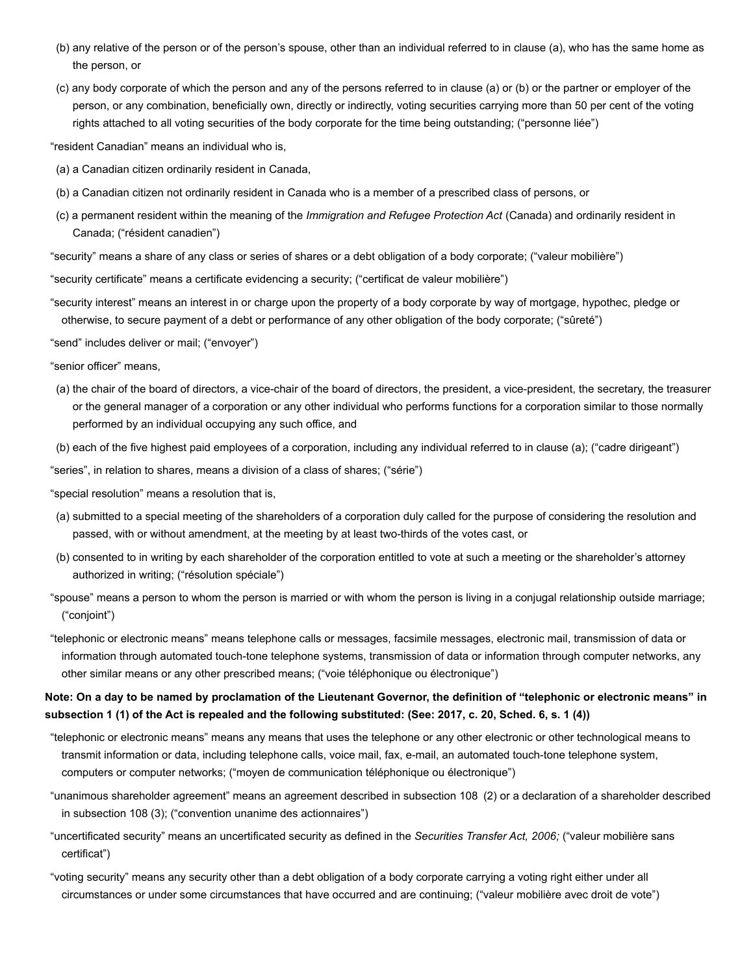- (b) any relative of the person or of the person's spouse, other than an individual referred to in clause (a), who has the same home as the person, or
- (c) any body corporate of which the person and any of the persons referred to in clause (a) or (b) or the partner or employer of the person, or any combination, beneficially own, directly or indirectly, voting securities carrying more than 50 per cent of the voting rights attached to all voting securities of the body corporate for the time being outstanding; ("personne liée")

"resident Canadian" means an individual who is,

- (a) a Canadian citizen ordinarily resident in Canada,
- (b) a Canadian citizen not ordinarily resident in Canada who is a member of a prescribed class of persons, or
- (c) a permanent resident within the meaning of the *Immigration and Refugee Protection Act* (Canada) and ordinarily resident in Canada; ("résident canadien")

"security" means a share of any class or series of shares or a debt obligation of a body corporate; ("valeur mobilière")

"security certificate" means a certificate evidencing a security; ("certificat de valeur mobilière")

"security interest" means an interest in or charge upon the property of a body corporate by way of mortgage, hypothec, pledge or otherwise, to secure payment of a debt or performance of any other obligation of the body corporate; ("sûreté")

"send" includes deliver or mail; ("envoyer")

"senior officer" means,

- (a) the chair of the board of directors, a vice-chair of the board of directors, the president, a vice-president, the secretary, the treasurer or the general manager of a corporation or any other individual who performs functions for a corporation similar to those normally performed by an individual occupying any such office, and
- (b) each of the five highest paid employees of a corporation, including any individual referred to in clause (a); ("cadre dirigeant")

"series", in relation to shares, means a division of a class of shares; ("série")

- "special resolution" means a resolution that is,
- (a) submitted to a special meeting of the shareholders of a corporation duly called for the purpose of considering the resolution and passed, with or without amendment, at the meeting by at least two-thirds of the votes cast, or
- (b) consented to in writing by each shareholder of the corporation entitled to vote at such a meeting or the shareholder's attorney authorized in writing; ("résolution spéciale")
- "spouse" means a person to whom the person is married or with whom the person is living in a conjugal relationship outside marriage; ("conjoint")
- "telephonic or electronic means" means telephone calls or messages, facsimile messages, electronic mail, transmission of data or information through automated touch-tone telephone systems, transmission of data or information through computer networks, any other similar means or any other prescribed means; ("voie téléphonique ou électronique")

# **Note: On a day to be named by proclamation of the Lieutenant Governor, the definition of "telephonic or electronic means" in subsection 1 (1) of the Act is repealed and the following substituted: (See: 2017, c. 20, Sched. 6, s. 1 (4))**

- "telephonic or electronic means" means any means that uses the telephone or any other electronic or other technological means to transmit information or data, including telephone calls, voice mail, fax, e-mail, an automated touch-tone telephone system, computers or computer networks; ("moyen de communication téléphonique ou électronique")
- "unanimous shareholder agreement" means an agreement described in subsection 108 (2) or a declaration of a shareholder described in subsection 108 (3); ("convention unanime des actionnaires")
- "uncertificated security" means an uncertificated security as defined in the *Securities Transfer Act, 2006;* ("valeur mobilière sans certificat")
- "voting security" means any security other than a debt obligation of a body corporate carrying a voting right either under all circumstances or under some circumstances that have occurred and are continuing; ("valeur mobilière avec droit de vote")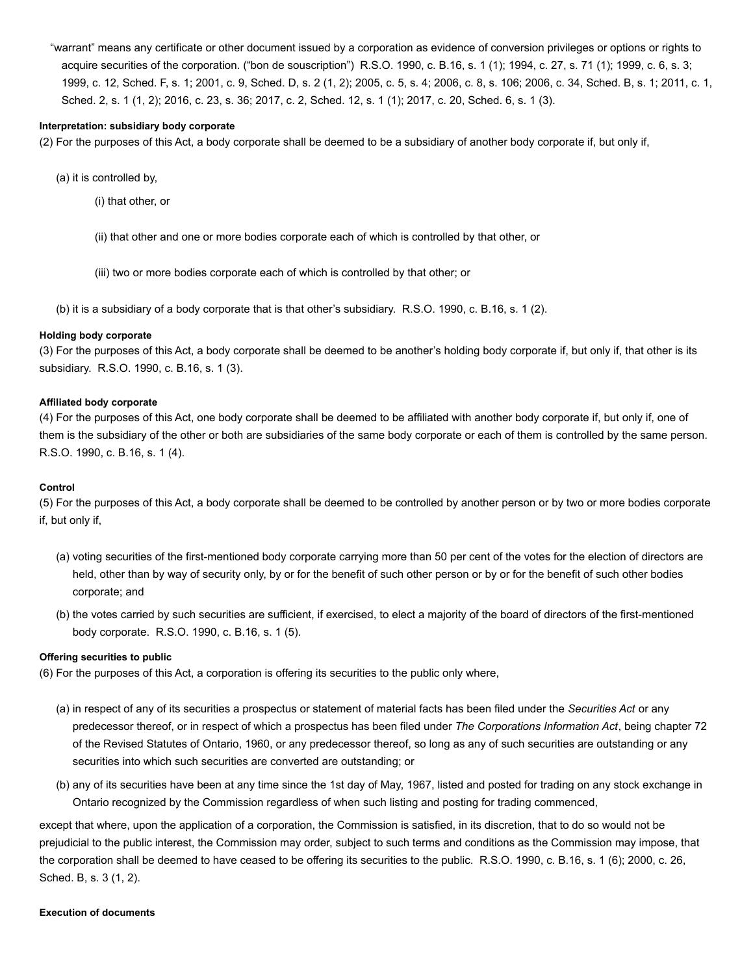"warrant" means any certificate or other document issued by a corporation as evidence of conversion privileges or options or rights to acquire securities of the corporation. ("bon de souscription") R.S.O. 1990, c. B.16, s. 1 (1); 1994, c. 27, s. 71 (1); 1999, c. 6, s. 3; 1999, c. 12, Sched. F, s. 1; 2001, c. 9, Sched. D, s. 2 (1, 2); 2005, c. 5, s. 4; 2006, c. 8, s. 106; 2006, c. 34, Sched. B, s. 1; 2011, c. 1, Sched. 2, s. 1 (1, 2); 2016, c. 23, s. 36; 2017, c. 2, Sched. 12, s. 1 (1); 2017, c. 20, Sched. 6, s. 1 (3).

### **Interpretation: subsidiary body corporate**

(2) For the purposes of this Act, a body corporate shall be deemed to be a subsidiary of another body corporate if, but only if,

- (a) it is controlled by,
	- (i) that other, or
	- (ii) that other and one or more bodies corporate each of which is controlled by that other, or
	- (iii) two or more bodies corporate each of which is controlled by that other; or

(b) it is a subsidiary of a body corporate that is that other's subsidiary. R.S.O. 1990, c. B.16, s. 1 (2).

### **Holding body corporate**

(3) For the purposes of this Act, a body corporate shall be deemed to be another's holding body corporate if, but only if, that other is its subsidiary. R.S.O. 1990, c. B.16, s. 1 (3).

### **Affiliated body corporate**

(4) For the purposes of this Act, one body corporate shall be deemed to be affiliated with another body corporate if, but only if, one of them is the subsidiary of the other or both are subsidiaries of the same body corporate or each of them is controlled by the same person. R.S.O. 1990, c. B.16, s. 1 (4).

### **Control**

(5) For the purposes of this Act, a body corporate shall be deemed to be controlled by another person or by two or more bodies corporate if, but only if,

- (a) voting securities of the first-mentioned body corporate carrying more than 50 per cent of the votes for the election of directors are held, other than by way of security only, by or for the benefit of such other person or by or for the benefit of such other bodies corporate; and
- (b) the votes carried by such securities are sufficient, if exercised, to elect a majority of the board of directors of the first-mentioned body corporate. R.S.O. 1990, c. B.16, s. 1 (5).

### **Offering securities to public**

(6) For the purposes of this Act, a corporation is offering its securities to the public only where,

- (a) in respect of any of its securities a prospectus or statement of material facts has been filed under the *Securities Act* or any predecessor thereof, or in respect of which a prospectus has been filed under *The Corporations Information Act*, being chapter 72 of the Revised Statutes of Ontario, 1960, or any predecessor thereof, so long as any of such securities are outstanding or any securities into which such securities are converted are outstanding; or
- (b) any of its securities have been at any time since the 1st day of May, 1967, listed and posted for trading on any stock exchange in Ontario recognized by the Commission regardless of when such listing and posting for trading commenced,

except that where, upon the application of a corporation, the Commission is satisfied, in its discretion, that to do so would not be prejudicial to the public interest, the Commission may order, subject to such terms and conditions as the Commission may impose, that the corporation shall be deemed to have ceased to be offering its securities to the public. R.S.O. 1990, c. B.16, s. 1 (6); 2000, c. 26, Sched. B, s. 3 (1, 2).

#### **Execution of documents**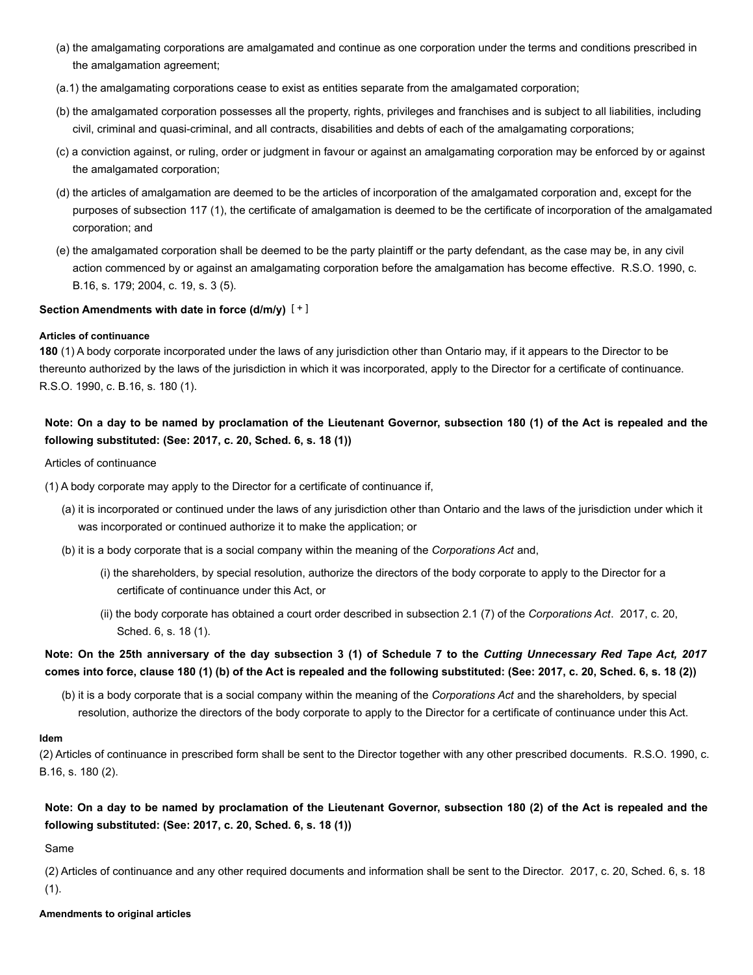- (a) the amalgamating corporations are amalgamated and continue as one corporation under the terms and conditions prescribed in the amalgamation agreement;
- (a.1) the amalgamating corporations cease to exist as entities separate from the amalgamated corporation;
- (b) the amalgamated corporation possesses all the property, rights, privileges and franchises and is subject to all liabilities, including civil, criminal and quasi-criminal, and all contracts, disabilities and debts of each of the amalgamating corporations;
- (c) a conviction against, or ruling, order or judgment in favour or against an amalgamating corporation may be enforced by or against the amalgamated corporation;
- (d) the articles of amalgamation are deemed to be the articles of incorporation of the amalgamated corporation and, except for the purposes of subsection 117 (1), the certificate of amalgamation is deemed to be the certificate of incorporation of the amalgamated corporation; and
- (e) the amalgamated corporation shall be deemed to be the party plaintiff or the party defendant, as the case may be, in any civil action commenced by or against an amalgamating corporation before the amalgamation has become effective. R.S.O. 1990, c. B.16, s. 179; 2004, c. 19, s. 3 (5).

### **Section Amendments with date in force (d/m/y)** [ + ]

#### **Articles of continuance**

<span id="page-12-0"></span>**180** (1) A body corporate incorporated under the laws of any jurisdiction other than Ontario may, if it appears to the Director to be thereunto authorized by the laws of the jurisdiction in which it was incorporated, apply to the Director for a certificate of continuance. R.S.O. 1990, c. B.16, s. 180 (1).

# **Note: On a day to be named by proclamation of the Lieutenant Governor, subsection 180 (1) of the Act is repealed and the following substituted: (See: 2017, c. 20, Sched. 6, s. 18 (1))**

#### Articles of continuance

(1) A body corporate may apply to the Director for a certificate of continuance if,

- (a) it is incorporated or continued under the laws of any jurisdiction other than Ontario and the laws of the jurisdiction under which it was incorporated or continued authorize it to make the application; or
- (b) it is a body corporate that is a social company within the meaning of the *Corporations Act* and,
	- (i) the shareholders, by special resolution, authorize the directors of the body corporate to apply to the Director for a certificate of continuance under this Act, or
	- (ii) the body corporate has obtained a court order described in subsection 2.1 (7) of the *Corporations Act*. 2017, c. 20, Sched. 6, s. 18 (1).

## **Note: On the 25th anniversary of the day subsection 3 (1) of Schedule 7 to the** *Cutting Unnecessary Red Tape Act, 2017* **comes into force, clause 180 (1) (b) of the Act is repealed and the following substituted: (See: 2017, c. 20, Sched. 6, s. 18 (2))**

(b) it is a body corporate that is a social company within the meaning of the *Corporations Act* and the shareholders, by special resolution, authorize the directors of the body corporate to apply to the Director for a certificate of continuance under this Act.

#### **Idem**

(2) Articles of continuance in prescribed form shall be sent to the Director together with any other prescribed documents. R.S.O. 1990, c. B.16, s. 180 (2).

# **Note: On a day to be named by proclamation of the Lieutenant Governor, subsection 180 (2) of the Act is repealed and the following substituted: (See: 2017, c. 20, Sched. 6, s. 18 (1))**

Same

(2) Articles of continuance and any other required documents and information shall be sent to the Director. 2017, c. 20, Sched. 6, s. 18 (1).

#### **Amendments to original articles**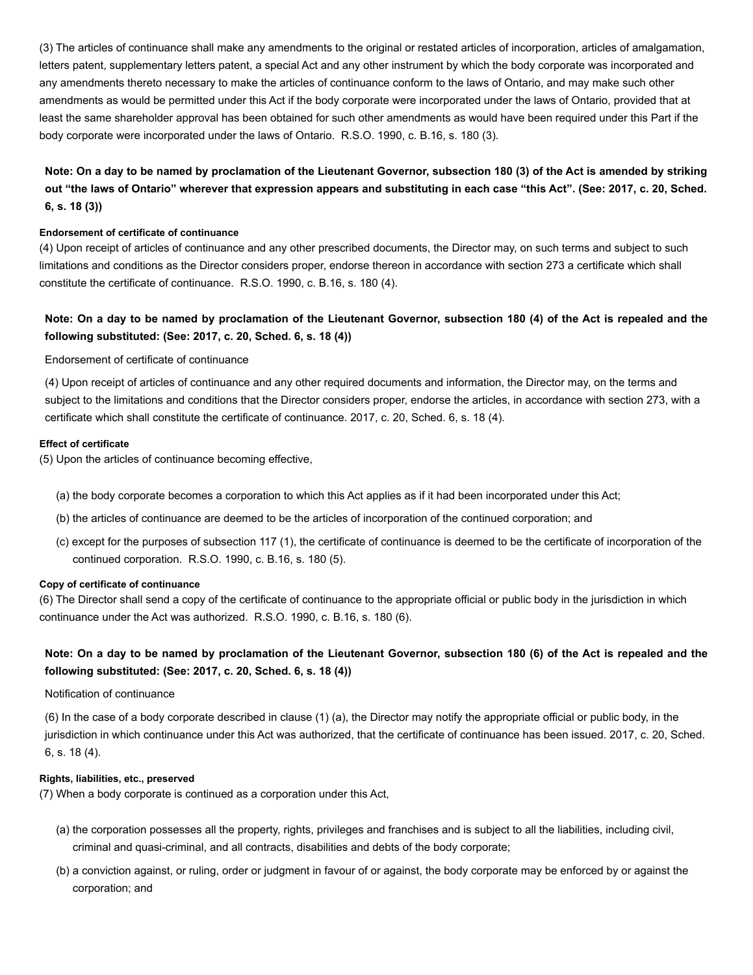(3) The articles of continuance shall make any amendments to the original or restated articles of incorporation, articles of amalgamation, letters patent, supplementary letters patent, a special Act and any other instrument by which the body corporate was incorporated and any amendments thereto necessary to make the articles of continuance conform to the laws of Ontario, and may make such other amendments as would be permitted under this Act if the body corporate were incorporated under the laws of Ontario, provided that at least the same shareholder approval has been obtained for such other amendments as would have been required under this Part if the body corporate were incorporated under the laws of Ontario. R.S.O. 1990, c. B.16, s. 180 (3).

# **Note: On a day to be named by proclamation of the Lieutenant Governor, subsection 180 (3) of the Act is amended by striking out "the laws of Ontario" wherever that expression appears and substituting in each case "this Act". (See: 2017, c. 20, Sched. 6, s. 18 (3))**

#### **Endorsement of certificate of continuance**

(4) Upon receipt of articles of continuance and any other prescribed documents, the Director may, on such terms and subject to such limitations and conditions as the Director considers proper, endorse thereon in accordance with section 273 a certificate which shall constitute the certificate of continuance. R.S.O. 1990, c. B.16, s. 180 (4).

## **Note: On a day to be named by proclamation of the Lieutenant Governor, subsection 180 (4) of the Act is repealed and the following substituted: (See: 2017, c. 20, Sched. 6, s. 18 (4))**

### Endorsement of certificate of continuance

(4) Upon receipt of articles of continuance and any other required documents and information, the Director may, on the terms and subject to the limitations and conditions that the Director considers proper, endorse the articles, in accordance with section 273, with a certificate which shall constitute the certificate of continuance. 2017, c. 20, Sched. 6, s. 18 (4).

### **Effect of certificate**

(5) Upon the articles of continuance becoming effective,

- (a) the body corporate becomes a corporation to which this Act applies as if it had been incorporated under this Act;
- (b) the articles of continuance are deemed to be the articles of incorporation of the continued corporation; and
- (c) except for the purposes of subsection 117 (1), the certificate of continuance is deemed to be the certificate of incorporation of the continued corporation. R.S.O. 1990, c. B.16, s. 180 (5).

#### **Copy of certificate of continuance**

(6) The Director shall send a copy of the certificate of continuance to the appropriate official or public body in the jurisdiction in which continuance under the Act was authorized. R.S.O. 1990, c. B.16, s. 180 (6).

# **Note: On a day to be named by proclamation of the Lieutenant Governor, subsection 180 (6) of the Act is repealed and the following substituted: (See: 2017, c. 20, Sched. 6, s. 18 (4))**

Notification of continuance

(6) In the case of a body corporate described in clause (1) (a), the Director may notify the appropriate official or public body, in the jurisdiction in which continuance under this Act was authorized, that the certificate of continuance has been issued. 2017, c. 20, Sched. 6, s. 18 (4).

### **Rights, liabilities, etc., preserved**

(7) When a body corporate is continued as a corporation under this Act,

- (a) the corporation possesses all the property, rights, privileges and franchises and is subject to all the liabilities, including civil, criminal and quasi-criminal, and all contracts, disabilities and debts of the body corporate;
- (b) a conviction against, or ruling, order or judgment in favour of or against, the body corporate may be enforced by or against the corporation; and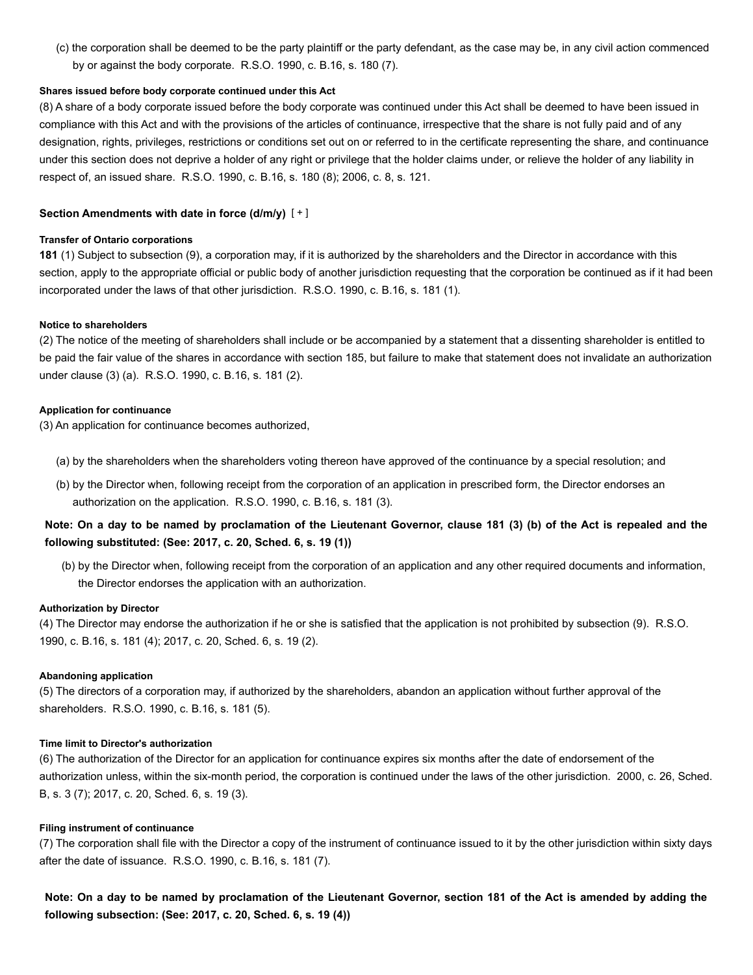(c) the corporation shall be deemed to be the party plaintiff or the party defendant, as the case may be, in any civil action commenced by or against the body corporate. R.S.O. 1990, c. B.16, s. 180 (7).

### **Shares issued before body corporate continued under this Act**

(8) A share of a body corporate issued before the body corporate was continued under this Act shall be deemed to have been issued in compliance with this Act and with the provisions of the articles of continuance, irrespective that the share is not fully paid and of any designation, rights, privileges, restrictions or conditions set out on or referred to in the certificate representing the share, and continuance under this section does not deprive a holder of any right or privilege that the holder claims under, or relieve the holder of any liability in respect of, an issued share. R.S.O. 1990, c. B.16, s. 180 (8); 2006, c. 8, s. 121.

### **Section Amendments with date in force (d/m/y)** [ + ]

### **Transfer of Ontario corporations**

<span id="page-14-0"></span>**181** (1) Subject to subsection (9), a corporation may, if it is authorized by the shareholders and the Director in accordance with this section, apply to the appropriate official or public body of another jurisdiction requesting that the corporation be continued as if it had been incorporated under the laws of that other jurisdiction. R.S.O. 1990, c. B.16, s. 181 (1).

### **Notice to shareholders**

(2) The notice of the meeting of shareholders shall include or be accompanied by a statement that a dissenting shareholder is entitled to be paid the fair value of the shares in accordance with section 185, but failure to make that statement does not invalidate an authorization under clause (3) (a). R.S.O. 1990, c. B.16, s. 181 (2).

### **Application for continuance**

(3) An application for continuance becomes authorized,

- (a) by the shareholders when the shareholders voting thereon have approved of the continuance by a special resolution; and
- (b) by the Director when, following receipt from the corporation of an application in prescribed form, the Director endorses an authorization on the application. R.S.O. 1990, c. B.16, s. 181 (3).

## **Note: On a day to be named by proclamation of the Lieutenant Governor, clause 181 (3) (b) of the Act is repealed and the following substituted: (See: 2017, c. 20, Sched. 6, s. 19 (1))**

(b) by the Director when, following receipt from the corporation of an application and any other required documents and information, the Director endorses the application with an authorization.

#### **Authorization by Director**

(4) The Director may endorse the authorization if he or she is satisfied that the application is not prohibited by subsection (9). R.S.O. 1990, c. B.16, s. 181 (4); 2017, c. 20, Sched. 6, s. 19 (2).

### **Abandoning application**

(5) The directors of a corporation may, if authorized by the shareholders, abandon an application without further approval of the shareholders. R.S.O. 1990, c. B.16, s. 181 (5).

### **Time limit to Director's authorization**

(6) The authorization of the Director for an application for continuance expires six months after the date of endorsement of the authorization unless, within the six-month period, the corporation is continued under the laws of the other jurisdiction. 2000, c. 26, Sched. B, s. 3 (7); 2017, c. 20, Sched. 6, s. 19 (3).

### **Filing instrument of continuance**

(7) The corporation shall file with the Director a copy of the instrument of continuance issued to it by the other jurisdiction within sixty days after the date of issuance. R.S.O. 1990, c. B.16, s. 181 (7).

**Note: On a day to be named by proclamation of the Lieutenant Governor, section 181 of the Act is amended by adding the following subsection: (See: 2017, c. 20, Sched. 6, s. 19 (4))**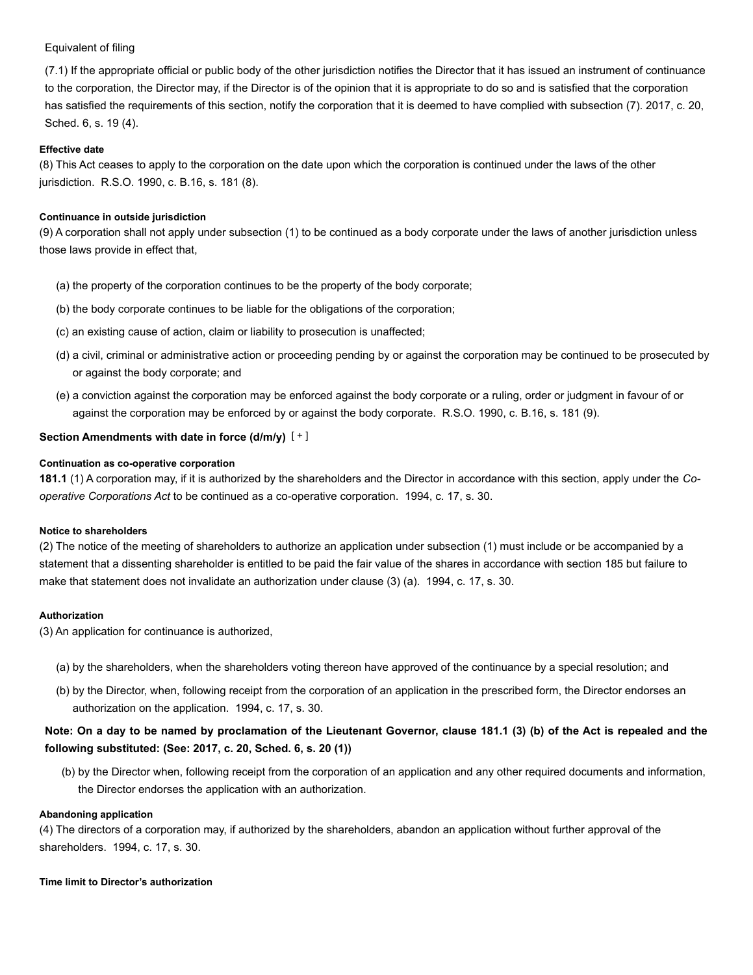## Equivalent of filing

(7.1) If the appropriate official or public body of the other jurisdiction notifies the Director that it has issued an instrument of continuance to the corporation, the Director may, if the Director is of the opinion that it is appropriate to do so and is satisfied that the corporation has satisfied the requirements of this section, notify the corporation that it is deemed to have complied with subsection (7). 2017, c. 20, Sched. 6, s. 19 (4).

### **Effective date**

(8) This Act ceases to apply to the corporation on the date upon which the corporation is continued under the laws of the other jurisdiction. R.S.O. 1990, c. B.16, s. 181 (8).

#### **Continuance in outside jurisdiction**

(9) A corporation shall not apply under subsection (1) to be continued as a body corporate under the laws of another jurisdiction unless those laws provide in effect that,

- (a) the property of the corporation continues to be the property of the body corporate;
- (b) the body corporate continues to be liable for the obligations of the corporation;
- (c) an existing cause of action, claim or liability to prosecution is unaffected;
- (d) a civil, criminal or administrative action or proceeding pending by or against the corporation may be continued to be prosecuted by or against the body corporate; and
- (e) a conviction against the corporation may be enforced against the body corporate or a ruling, order or judgment in favour of or against the corporation may be enforced by or against the body corporate. R.S.O. 1990, c. B.16, s. 181 (9).

### **Section Amendments with date in force (d/m/y)** [ + ]

#### **Continuation as co-operative corporation**

<span id="page-15-0"></span>**181.1** (1) A corporation may, if it is authorized by the shareholders and the Director in accordance with this section, apply under the *Cooperative Corporations Act* to be continued as a co-operative corporation. 1994, c. 17, s. 30.

#### **Notice to shareholders**

(2) The notice of the meeting of shareholders to authorize an application under subsection (1) must include or be accompanied by a statement that a dissenting shareholder is entitled to be paid the fair value of the shares in accordance with section 185 but failure to make that statement does not invalidate an authorization under clause (3) (a). 1994, c. 17, s. 30.

#### **Authorization**

(3) An application for continuance is authorized,

- (a) by the shareholders, when the shareholders voting thereon have approved of the continuance by a special resolution; and
- (b) by the Director, when, following receipt from the corporation of an application in the prescribed form, the Director endorses an authorization on the application. 1994, c. 17, s. 30.

## **Note: On a day to be named by proclamation of the Lieutenant Governor, clause 181.1 (3) (b) of the Act is repealed and the following substituted: (See: 2017, c. 20, Sched. 6, s. 20 (1))**

(b) by the Director when, following receipt from the corporation of an application and any other required documents and information, the Director endorses the application with an authorization.

#### **Abandoning application**

(4) The directors of a corporation may, if authorized by the shareholders, abandon an application without further approval of the shareholders. 1994, c. 17, s. 30.

#### **Time limit to Director's authorization**